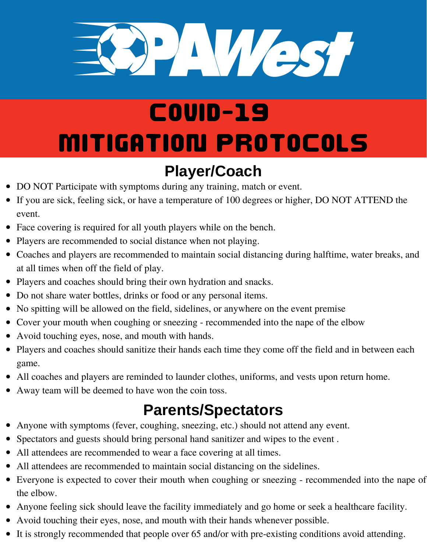

# Covid-19 Mitigation Protocols

#### **Player/Coach**

- DO NOT Participate with symptoms during any training, match or event.
- If you are sick, feeling sick, or have a temperature of 100 degrees or higher, DO NOT ATTEND the event.
- Face covering is required for all youth players while on the bench.
- Players are recommended to social distance when not playing.
- Coaches and players are recommended to maintain social distancing during halftime, water breaks, and at all times when off the field of play.
- Players and coaches should bring their own hydration and snacks.
- Do not share water bottles, drinks or food or any personal items.
- No spitting will be allowed on the field, sidelines, or anywhere on the event premise
- Cover your mouth when coughing or sneezing recommended into the nape of the elbow
- Avoid touching eyes, nose, and mouth with hands.
- Players and coaches should sanitize their hands each time they come off the field and in between each game.
- All coaches and players are reminded to launder clothes, uniforms, and vests upon return home.
- Away team will be deemed to have won the coin toss.

### **Parents/Spectators**

- Anyone with symptoms (fever, coughing, sneezing, etc.) should not attend any event.
- Spectators and guests should bring personal hand sanitizer and wipes to the event .
- All attendees are recommended to wear a face covering at all times.
- All attendees are recommended to maintain social distancing on the sidelines.
- Everyone is expected to cover their mouth when coughing or sneezing recommended into the nape of the elbow.
- Anyone feeling sick should leave the facility immediately and go home or seek a healthcare facility.
- Avoid touching their eyes, nose, and mouth with their hands whenever possible.
- It is strongly recommended that people over 65 and/or with pre-existing conditions avoid attending.